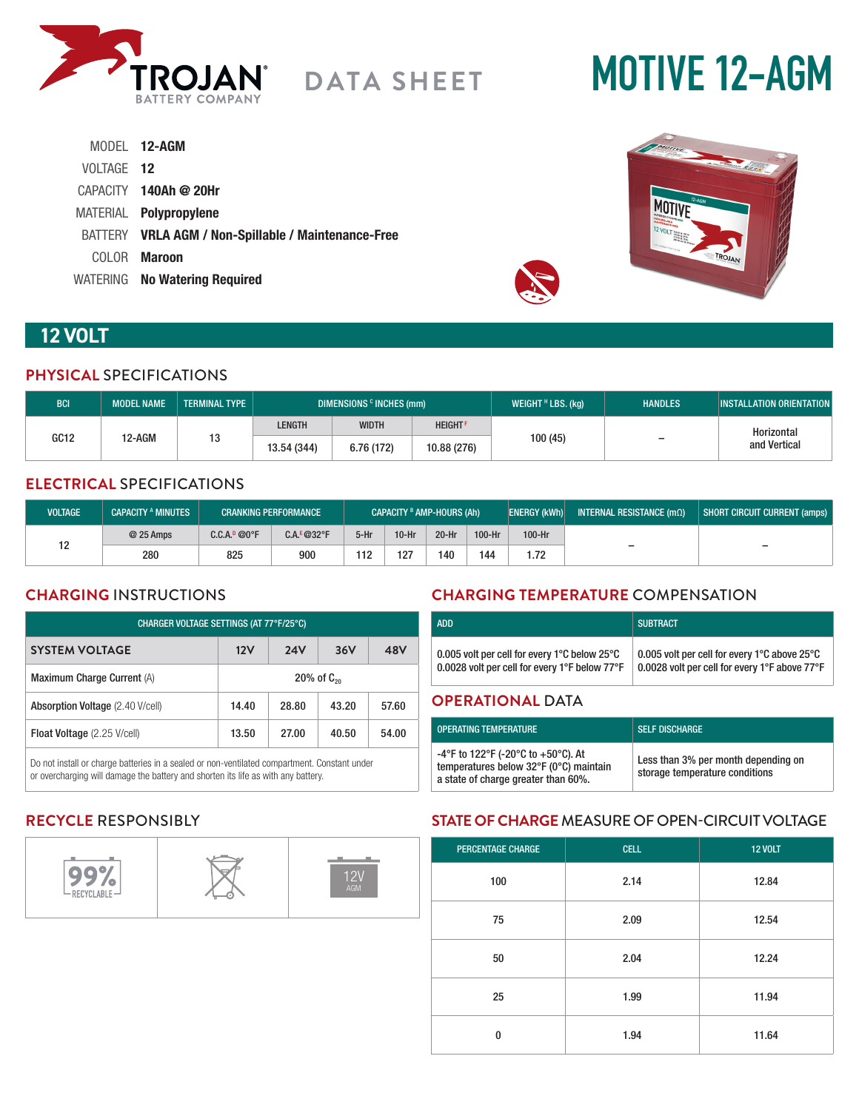

# **MOTIVE 12-AGM**

|            | MODEL 12-AGM                                        |
|------------|-----------------------------------------------------|
| VOLTAGE 12 |                                                     |
|            | CAPACITY 140Ah @ 20Hr                               |
|            | MATERIAL <b>Polypropylene</b>                       |
|            | BATTERY VRLA AGM / Non-Spillable / Maintenance-Free |
| COLOR.     | Maroon                                              |
|            | WATERING No Watering Required                       |



## **12 VOLT**

#### **PHYSICAL** SPECIFICATIONS

| <b>BCI</b>     | <b>MODEL NAME</b> | <b>TERMINAL TYPE</b> | DIMENSIONS <sup>c</sup> INCHES (mm) |                |         | WEIGHT $H$ LBS. (kg)     | <b>HANDLES</b> | <b>INSTALLATION ORIENTATION</b> |
|----------------|-------------------|----------------------|-------------------------------------|----------------|---------|--------------------------|----------------|---------------------------------|
| GC12<br>12-AGM |                   | LENGTH               | <b>WIDTH</b>                        | <b>HEIGHTF</b> |         |                          | Horizontal     |                                 |
|                | 12<br>IJ          | 13.54 (344)          | 6.76 (172)                          | 10.88 (276)    | 100(45) | $\overline{\phantom{a}}$ | and Vertical   |                                 |

#### **ELECTRICAL** SPECIFICATIONS

| <b>VOLTAGE</b> | <b>CAPACITY A MINUTES</b> | <b>CRANKING PERFORMANCE</b> |                     | CAPACITY <sup>B</sup> AMP-HOURS (Ah) |         |       |        | <b>ENERGY (kWh)</b> | INTERNAL RESISTANCE $(m\Omega)$ | SHORT CIRCUIT CURRENT (amps) |
|----------------|---------------------------|-----------------------------|---------------------|--------------------------------------|---------|-------|--------|---------------------|---------------------------------|------------------------------|
| 10             | $@25$ Amps                | C.C.A. <sup>D</sup> @0°F    | $C.A.E@32^{\circ}F$ | $5-Hr$                               | $10-Hr$ | 20-Hr | 100-Hr | 100-Hr              |                                 |                              |
|                | 280                       | 825                         | 900                 | 112                                  | 127     | 140   | 144    | .72                 | -                               | $\overline{\phantom{0}}$     |

#### **CHARGING** INSTRUCTIONS

| CHARGER VOLTAGE SETTINGS (AT 77°F/25°C) |                 |            |       |       |  |
|-----------------------------------------|-----------------|------------|-------|-------|--|
| <b>SYSTEM VOLTAGE</b>                   | 12V             | <b>24V</b> | 36V   | 48V   |  |
| Maximum Charge Current (A)              | 20% of $C_{20}$ |            |       |       |  |
| Absorption Voltage (2.40 V/cell)        | 14.40           | 28.80      | 43.20 | 57.60 |  |
| <b>Float Voltage</b> (2.25 V/cell)      | 13.50           | 27.00      | 40.50 | 54.00 |  |

Do not install or charge batteries in a sealed or non-ventilated compartment. Constant under or overcharging will damage the battery and shorten its life as with any battery.

### **CHARGING TEMPERATURE** COMPENSATION

| <b>ADD</b>                                                                                                          | <b>SUBTRACT</b>                                                                               |
|---------------------------------------------------------------------------------------------------------------------|-----------------------------------------------------------------------------------------------|
| 0.005 volt per cell for every 1 $^{\circ}$ C below 25 $^{\circ}$ C<br>0.0028 volt per cell for every 1°F below 77°F | 0.005 volt per cell for every 1°C above 25°C<br>0.0028 volt per cell for every 1°F above 77°F |
| ABERITIALI RITI                                                                                                     |                                                                                               |

#### **OPERATIONAL** DATA

| <b>OPERATING TEMPERATURE</b>                                                                                        | <b>SELF DISCHARGE</b>                                                 |
|---------------------------------------------------------------------------------------------------------------------|-----------------------------------------------------------------------|
| -4°F to 122°F (-20°C to +50°C). At<br>temperatures below 32°F (0°C) maintain<br>a state of charge greater than 60%. | Less than 3% per month depending on<br>storage temperature conditions |

#### **RECYCLE** RESPONSIBLY



#### **STATE OF CHARGE** MEASURE OF OPEN-CIRCUIT VOLTAGE

| <b>PERCENTAGE CHARGE</b> | <b>CELL</b> | <b>12 VOLT</b> |
|--------------------------|-------------|----------------|
| 100                      | 2.14        | 12.84          |
| 75                       | 2.09        | 12.54          |
| 50                       | 2.04        | 12.24          |
| 25                       | 1.99        | 11.94          |
| $\Omega$                 | 1.94        | 11.64          |